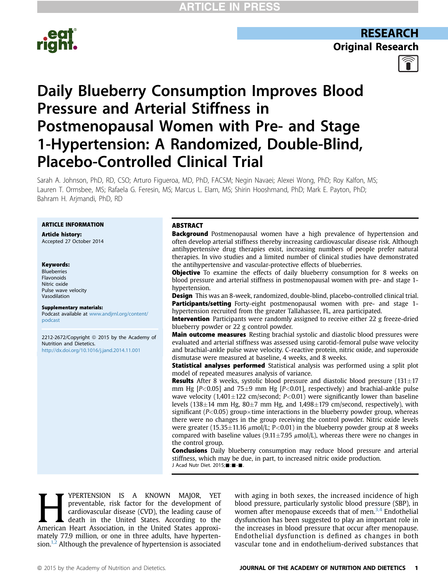

**RESEARCH Original Research** 



# Daily Blueberry Consumption Improves Blood Pressure and Arterial Stiffness in Postmenopausal Women with Pre- and Stage 1-Hypertension: A Randomized, Double-Blind, Placebo-Controlled Clinical Trial

Sarah A. Johnson, PhD, RD, CSO; Arturo Figueroa, MD, PhD, FACSM; Negin Navaei; Alexei Wong, PhD; Roy Kalfon, MS; Lauren T. Ormsbee, MS; Rafaela G. Feresin, MS; Marcus L. Elam, MS; Shirin Hooshmand, PhD; Mark E. Payton, PhD; Bahram H. Arjmandi, PhD, RD

### ARTICLE INFORMATION

Article history: Accepted 27 October 2014

#### Keywords:

Blueberries Flavonoids Nitric oxide Pulse wave velocity Vasodilation

#### Supplementary materials:

Podcast available at [www.andjrnl.org/content/](http://www.andjrnl.org/content/podcast) [podcast](http://www.andjrnl.org/content/podcast)

2212-2672/Copyright @ 2015 by the Academy of Nutrition and Dietetics. <http://dx.doi.org/10.1016/j.jand.2014.11.001>

#### ABSTRACT

**Background** Postmenopausal women have a high prevalence of hypertension and often develop arterial stiffness thereby increasing cardiovascular disease risk. Although antihypertensive drug therapies exist, increasing numbers of people prefer natural therapies. In vivo studies and a limited number of clinical studies have demonstrated the antihypertensive and vascular-protective effects of blueberries.

**Objective** To examine the effects of daily blueberry consumption for 8 weeks on blood pressure and arterial stiffness in postmenopausal women with pre- and stage 1 hypertension.

Design This was an 8-week, randomized, double-blind, placebo-controlled clinical trial. **Participants/setting** Forty-eight postmenopausal women with pre- and stage 1hypertension recruited from the greater Tallahassee, FL, area participated.

**Intervention** Participants were randomly assigned to receive either 22 g freeze-dried blueberry powder or 22 g control powder.

Main outcome measures Resting brachial systolic and diastolic blood pressures were evaluated and arterial stiffness was assessed using carotid-femoral pulse wave velocity and brachial-ankle pulse wave velocity. C-reactive protein, nitric oxide, and superoxide dismutase were measured at baseline, 4 weeks, and 8 weeks.

**Statistical analyses performed** Statistical analysis was performed using a split plot model of repeated measures analysis of variance.

**Results** After 8 weeks, systolic blood pressure and diastolic blood pressure  $(131 \pm 17)$ mm Hg  $[P<0.05]$  and 75 $\pm$ 9 mm Hg  $[P<0.01]$ , respectively) and brachial-ankle pulse wave velocity (1,401 $\pm$ 122 cm/second; P<0.01) were significantly lower than baseline levels (138 $\pm$ 14 mm Hg, 80 $\pm$ 7 mm Hg, and 1,498 $\pm$ 179 cm/second, respectively), with significant ( $P<0.05$ ) group $\times$ time interactions in the blueberry powder group, whereas there were no changes in the group receiving the control powder. Nitric oxide levels were greater (15.35 $\pm$ 11.16  $\mu$ mol/L; P<0.01) in the blueberry powder group at 8 weeks compared with baseline values (9.11 $\pm$ 7.95  $\mu$ mol/L), whereas there were no changes in the control group.

**Conclusions** Daily blueberry consumption may reduce blood pressure and arterial stiffness, which may be due, in part, to increased nitric oxide production. J Acad Nutr Diet. 2015; : -

**HERTENSION IS A KNOWN MAJOR, YET**<br>preventable, risk factor for the development of<br>cardiovascular disease (CVD), the leading cause of<br>death in the United States. According to the<br>American Heart Association. in the United S preventable, risk factor for the development of cardiovascular disease (CVD), the leading cause of death in the United States. According to the American Heart Association, in the United States approximately 77.9 million, or one in three adults, have hypertension. $1,2$  Although the prevalence of hypertension is associated with aging in both sexes, the increased incidence of high blood pressure, particularly systolic blood pressure (SBP), in women after menopause exceeds that of men. $3,4$  Endothelial dysfunction has been suggested to play an important role in the increases in blood pressure that occur after menopause. Endothelial dysfunction is defined as changes in both vascular tone and in endothelium-derived substances that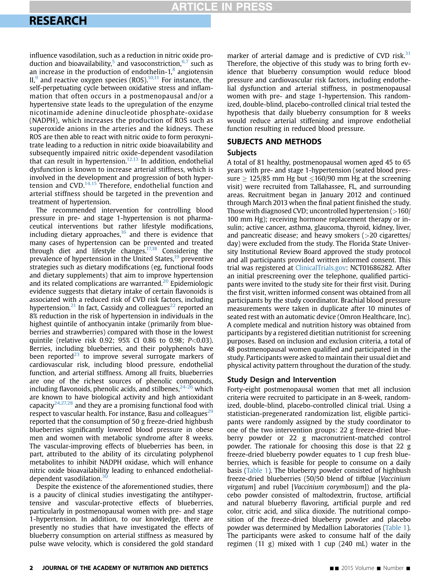### **ARTICLE IN PRESS**

### **RESEARCH** <u>research</u>

influence vasodilation, such as a reduction in nitric oxide production and bioavailability,<sup>5</sup> and vasoconstriction, $6,7$  such as an increase in the production of endothelin- $1<sup>8</sup>$  $1<sup>8</sup>$  $1<sup>8</sup>$  angiotensin  $II<sub>1</sub><sup>9</sup>$  $II<sub>1</sub><sup>9</sup>$  $II<sub>1</sub><sup>9</sup>$  and reactive oxygen species (ROS).<sup>10,11</sup> For instance, the self-perpetuating cycle between oxidative stress and inflammation that often occurs in a postmenopausal and/or a hypertensive state leads to the upregulation of the enzyme nicotinamide adenine dinucleotide phosphate-oxidase (NADPH), which increases the production of ROS such as superoxide anions in the arteries and the kidneys. These ROS are then able to react with nitric oxide to form peroxynitrate leading to a reduction in nitric oxide bioavailability and subsequently impaired nitric oxide-dependent vasodilation that can result in hypertension. $12,13$  In addition, endothelial dysfunction is known to increase arterial stiffness, which is involved in the development and progression of both hyper-tension and CVD.<sup>[14,15](#page-7-0)</sup> Therefore, endothelial function and arterial stiffness should be targeted in the prevention and treatment of hypertension.

The recommended intervention for controlling blood pressure in pre- and stage 1-hypertension is not pharmaceutical interventions but rather lifestyle modifications, including dietary approaches, $16$  and there is evidence that many cases of hypertension can be prevented and treated through diet and lifestyle changes. $17,18$  Considering the prevalence of hypertension in the United States,<sup>19</sup> preventive strategies such as dietary modifications (eg, functional foods and dietary supplements) that aim to improve hypertension and its related complications are warranted.<sup>[20](#page-7-0)</sup> Epidemiologic evidence suggests that dietary intake of certain flavonoids is associated with a reduced risk of CVD risk factors, including hypertension.<sup>[21](#page-7-0)</sup> In fact, Cassidy and colleagues<sup>[22](#page-7-0)</sup> reported an 8% reduction in the risk of hypertension in individuals in the highest quintile of anthocyanin intake (primarily from blueberries and strawberries) compared with those in the lowest quintile (relative risk 0.92; 95% CI 0.86 to 0.98; P<0.03). Berries, including blueberries, and their polyphenols have been reported<sup>[23](#page-7-0)</sup> to improve several surrogate markers of cardiovascular risk, including blood pressure, endothelial function, and arterial stiffness. Among all fruits, blueberries are one of the richest sources of phenolic compounds, including flavonoids, phenolic acids, and stilbenes,  $24-26$  which are known to have biological activity and high antioxidant capacity<sup>[24,27,28](#page-7-0)</sup> and they are a promising functional food with respect to vascular health. For instance, Basu and colleagues<sup>[29](#page-7-0)</sup> reported that the consumption of 50 g freeze-dried highbush blueberries significantly lowered blood pressure in obese men and women with metabolic syndrome after 8 weeks. The vascular-improving effects of blueberries has been, in part, attributed to the ability of its circulating polyphenol metabolites to inhibit NADPH oxidase, which will enhance nitric oxide bioavailability leading to enhanced endothelialdependent vasodilation.<sup>3</sup>

Despite the existence of the aforementioned studies, there is a paucity of clinical studies investigating the antihypertensive and vascular-protective effects of blueberries, particularly in postmenopausal women with pre- and stage 1-hypertension. In addition, to our knowledge, there are presently no studies that have investigated the effects of blueberry consumption on arterial stiffness as measured by pulse wave velocity, which is considered the gold standard

marker of arterial damage and is predictive of CVD risk. $31$ Therefore, the objective of this study was to bring forth evidence that blueberry consumption would reduce blood pressure and cardiovascular risk factors, including endothelial dysfunction and arterial stiffness, in postmenopausal women with pre- and stage 1-hypertension. This randomized, double-blind, placebo-controlled clinical trial tested the hypothesis that daily blueberry consumption for 8 weeks would reduce arterial stiffening and improve endothelial function resulting in reduced blood pressure.

## **Subjects**

A total of 81 healthy, postmenopausal women aged 45 to 65 years with pre- and stage 1-hypertension (seated blood pressure  $> 125/85$  mm Hg but  $\lt 160/90$  mm Hg at the screening visit) were recruited from Tallahassee, FL, and surrounding areas. Recruitment began in January 2012 and continued through March 2013 when the final patient finished the study. Those with diagnosed CVD; uncontrolled hypertension  $(>160/$ 100 mm Hg); receiving hormone replacement therapy or insulin; active cancer, asthma, glaucoma, thyroid, kidney, liver, and pancreatic disease; and heavy smokers (>20 cigarettes/ day) were excluded from the study. The Florida State University Institutional Review Board approved the study protocol and all participants provided written informed consent. This trial was registered at [ClinicalTrials.gov:](http://ClinicalTrials.gov) NCT01686282. After an initial prescreening over the telephone, qualified participants were invited to the study site for their first visit. During the first visit, written informed consent was obtained from all participants by the study coordinator. Brachial blood pressure measurements were taken in duplicate after 10 minutes of seated rest with an automatic device (Omron Healthcare, Inc). A complete medical and nutrition history was obtained from participants by a registered dietitian nutritionist for screening purposes. Based on inclusion and exclusion criteria, a total of 48 postmenopausal women qualified and participated in the study. Participants were asked to maintain their usual diet and physical activity pattern throughout the duration of the study.

### Study Design and Intervention

Forty-eight postmenopausal women that met all inclusion criteria were recruited to participate in an 8-week, randomized, double-blind, placebo-controlled clinical trial. Using a statistician-pregenerated randomization list, eligible participants were randomly assigned by the study coordinator to one of the two intervention groups: 22 g freeze-dried blueberry powder or 22 g macronutrient-matched control powder. The rationale for choosing this dose is that 22 g freeze-dried blueberry powder equates to 1 cup fresh blueberries, which is feasible for people to consume on a daily basis [\(Table 1](#page-2-0)). The blueberry powder consisted of highbush freeze-dried blueberries (50/50 blend of tifblue [Vaccinium virgatum] and rubel [Vaccinium corymbosum]) and the placebo powder consisted of maltodextrin, fructose, artificial and natural blueberry flavoring, artificial purple and red color, citric acid, and silica dioxide. The nutritional composition of the freeze-dried blueberry powder and placebo powder was determined by Medallion Laboratories ([Table 1](#page-2-0)). The participants were asked to consume half of the daily regimen (11 g) mixed with 1 cup (240 mL) water in the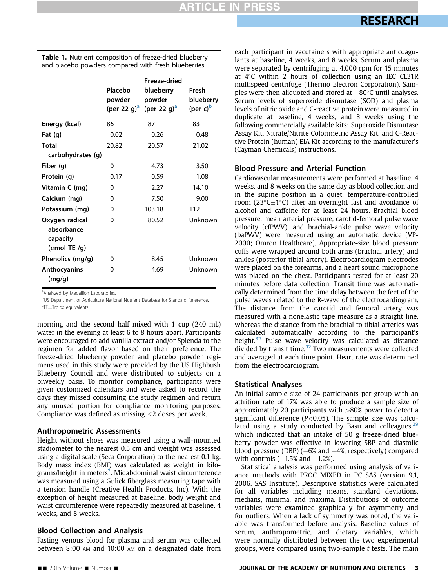|                                                                             | Placebo<br>powder<br>(per 22 g) $^{\rm a}$ | Freeze-dried<br>blueberry<br>powder<br>(per 22 g) <sup>a</sup> | Fresh<br>blueberry<br>(per c) <sup>b</sup> |
|-----------------------------------------------------------------------------|--------------------------------------------|----------------------------------------------------------------|--------------------------------------------|
| Energy (kcal)                                                               | 86                                         | 87                                                             | 83                                         |
| Fat $(q)$                                                                   | 0.02                                       | 0.26                                                           | 0.48                                       |
| Total                                                                       | 20.82                                      | 20.57                                                          | 21.02                                      |
| carbohydrates (g)                                                           |                                            |                                                                |                                            |
| Fiber (g)                                                                   | 0                                          | 4.73                                                           | 3.50                                       |
| Protein (g)                                                                 | 0.17                                       | 0.59                                                           | 1.08                                       |
| Vitamin C (mg)                                                              | 0                                          | 2.27                                                           | 14.10                                      |
| Calcium (mg)                                                                | $\Omega$                                   | 7.50                                                           | 9.00                                       |
| Potassium (mg)                                                              | O                                          | 103.18                                                         | 112                                        |
| Oxygen radical<br>absorbance<br>capacity<br>( $\mu$ mol TE <sup>c</sup> /g) | O                                          | 80.52                                                          | Unknown                                    |
| Phenolics (mg/g)                                                            | O                                          | 8.45                                                           | Unknown                                    |
| <b>Anthocyanins</b><br>(mq/q)                                               | ŋ                                          | 4.69                                                           | Unknown                                    |

<span id="page-2-0"></span>Table 1. Nutrient composition of freeze-dried blueberry and placebo powders compared with fresh blueberries

<sup>a</sup>Analyzed by Medallion Laboratories.

**bUS Department of Agriculture National Nutrient Database for Standard Reference.** <sup>c</sup>TE=Trolox equivalents.

morning and the second half mixed with 1 cup (240 mL) water in the evening at least 6 to 8 hours apart. Participants were encouraged to add vanilla extract and/or Splenda to the regimen for added flavor based on their preference. The freeze-dried blueberry powder and placebo powder regimens used in this study were provided by the US Highbush Blueberry Council and were distributed to subjects on a biweekly basis. To monitor compliance, participants were given customized calendars and were asked to record the days they missed consuming the study regimen and return any unused portion for compliance monitoring purposes. Compliance was defined as missing  $\leq$  2 doses per week.

### Anthropometric Assessments

Height without shoes was measured using a wall-mounted stadiometer to the nearest 0.5 cm and weight was assessed using a digital scale (Seca Corporation) to the nearest 0.1 kg. Body mass index (BMI) was calculated as weight in kilo-grams/height in meters<sup>[2](#page-6-0)</sup>. Midabdominal waist circumference was measured using a Gulick fiberglass measuring tape with a tension handle (Creative Health Products, Inc). With the exception of height measured at baseline, body weight and waist circumference were repeatedly measured at baseline, 4 weeks, and 8 weeks.

### Blood Collection and Analysis

Fasting venous blood for plasma and serum was collected between 8:00 AM and 10:00 AM on a designated date from each participant in vacutainers with appropriate anticoagulants at baseline, 4 weeks, and 8 weeks. Serum and plasma were separated by centrifuging at 4,000 rpm for 15 minutes at  $4^{\circ}$ C within 2 hours of collection using an IEC CL31R multispeed centrifuge (Thermo Electron Corporation). Samples were then aliquoted and stored at  $-80^{\circ}$ C until analyses. Serum levels of superoxide dismutase (SOD) and plasma levels of nitric oxide and C-reactive protein were measured in duplicate at baseline, 4 weeks, and 8 weeks using the following commercially available kits: Superoxide Dismutase Assay Kit, Nitrate/Nitrite Colorimetric Assay Kit, and C-Reactive Protein (human) EIA Kit according to the manufacturer's (Cayman Chemicals) instructions.

### Blood Pressure and Arterial Function

Cardiovascular measurements were performed at baseline, 4 weeks, and 8 weeks on the same day as blood collection and in the supine position in a quiet, temperature-controlled room (23 $\textdegree$ C $\pm$ 1 $\textdegree$ C) after an overnight fast and avoidance of alcohol and caffeine for at least 24 hours. Brachial blood pressure, mean arterial pressure, carotid-femoral pulse wave velocity (cfPWV), and brachial-ankle pulse wave velocity (baPWV) were measured using an automatic device (VP-2000; Omron Healthcare). Appropriate-size blood pressure cuffs were wrapped around both arms (brachial artery) and ankles (posterior tibial artery). Electrocardiogram electrodes were placed on the forearms, and a heart sound microphone was placed on the chest. Participants rested for at least 20 minutes before data collection. Transit time was automatically determined from the time delay between the feet of the pulse waves related to the R-wave of the electrocardiogram. The distance from the carotid and femoral artery was measured with a nonelastic tape measure as a straight line, whereas the distance from the brachial to tibial arteries was calculated automatically according to the participant's height. $32$  Pulse wave velocity was calculated as distance divided by transit time.[32](#page-7-0) Two measurements were collected and averaged at each time point. Heart rate was determined from the electrocardiogram.

### Statistical Analyses

An initial sample size of 24 participants per group with an attrition rate of 17% was able to produce a sample size of approximately 20 participants with >80% power to detect a significant difference ( $P<0.05$ ). The sample size was calculated using a study conducted by Basu and colleagues, $29$ which indicated that an intake of 50 g freeze-dried blueberry powder was effective in lowering SBP and diastolic blood pressure (DBP)  $(-6\%$  and  $-4\%$ , respectively) compared with controls  $(-1.5\%$  and  $-1.2\%)$ .

Statistical analysis was performed using analysis of variance methods with PROC MIXED in PC SAS (version 9.1, 2006, SAS Institute). Descriptive statistics were calculated for all variables including means, standard deviations, medians, minima, and maxima. Distributions of outcome variables were examined graphically for asymmetry and for outliers. When a lack of symmetry was noted, the variable was transformed before analysis. Baseline values of serum, anthropometric, and dietary variables, which were normally distributed between the two experimental groups, were compared using two-sample t tests. The main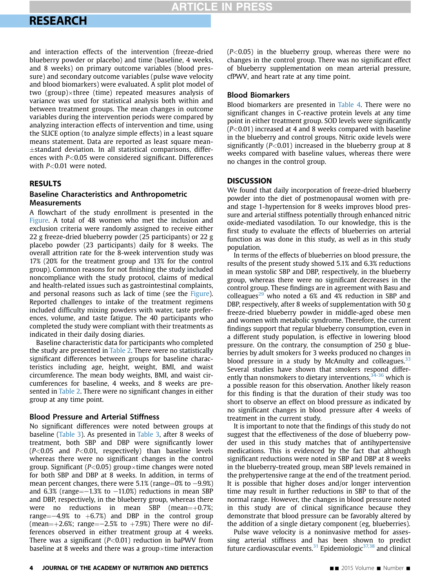### **ARTICLE IN PRESS**

## **RESEARCH** <u>research</u>

and interaction effects of the intervention (freeze-dried blueberry powder or placebo) and time (baseline, 4 weeks, and 8 weeks) on primary outcome variables (blood pressure) and secondary outcome variables (pulse wave velocity and blood biomarkers) were evaluated. A split plot model of two (group) $\times$ three (time) repeated measures analysis of variance was used for statistical analysis both within and between treatment groups. The mean changes in outcome variables during the intervention periods were compared by analyzing interaction effects of intervention and time, using the SLICE option (to analyze simple effects) in a least square means statement. Data are reported as least square mean-  $\pm$ standard deviation. In all statistical comparisons, differences with  $P<0.05$  were considered significant. Differences with  $P<0.01$  were noted.

### **RESULTS**

### **Baseline Characteristics and Anthropometric Measurements**

A flowchart of the study enrollment is presented in the [Figure](#page-4-0). A total of 48 women who met the inclusion and exclusion criteria were randomly assigned to receive either 22 g freeze-dried blueberry powder (25 participants) or 22 g placebo powder (23 participants) daily for 8 weeks. The overall attrition rate for the 8-week intervention study was 17% (20% for the treatment group and 13% for the control group). Common reasons for not finishing the study included noncompliance with the study protocol, claims of medical and health-related issues such as gastrointestinal complaints, and personal reasons such as lack of time (see the [Figure](#page-4-0)). Reported challenges to intake of the treatment regimens included difficulty mixing powders with water, taste preferences, volume, and taste fatigue. The 40 participants who completed the study were compliant with their treatments as indicated in their daily dosing diaries.

Baseline characteristic data for participants who completed the study are presented in [Table 2](#page-5-0). There were no statistically significant differences between groups for baseline characteristics including age, height, weight, BMI, and waist circumference. The mean body weights, BMI, and waist circumferences for baseline, 4 weeks, and 8 weeks are presented in [Table 2](#page-5-0). There were no significant changes in either group at any time point.

### Blood Pressure and Arterial Stiffness

No significant differences were noted between groups at baseline ([Table 3](#page-5-0)). As presented in [Table 3](#page-5-0), after 8 weeks of treatment, both SBP and DBP were significantly lower  $(P<0.05$  and  $P<0.01$ , respectively) than baseline levels whereas there were no significant changes in the control group. Significant ( $P<0.05$ ) group $\times$ time changes were noted for both SBP and DBP at 8 weeks. In addition, in terms of mean percent changes, there were  $5.1\%$  (range=0% to  $-9.9\%$ ) and 6.3% (range $=-1.3$ % to  $-11.0$ %) reductions in mean SBP and DBP, respectively, in the blueberry group, whereas there were no reductions in mean SBP (mean= $+0.7\%$ ; range $=-4.9%$  to  $+6.7%$ ) and DBP in the control group (mean= $+2.6\%$ ; range= $-2.5\%$  to  $+7.9\%$ ) There were no differences observed in either treatment group at 4 weeks. There was a significant ( $P<0.01$ ) reduction in baPWV from baseline at 8 weeks and there was a group $\times$ time interaction

 $(P<0.05)$  in the blueberry group, whereas there were no changes in the control group. There was no significant effect of blueberry supplementation on mean arterial pressure, cfPWV, and heart rate at any time point.

### Blood Biomarkers

Blood biomarkers are presented in [Table 4.](#page-6-0) There were no significant changes in C-reactive protein levels at any time point in either treatment group. SOD levels were significantly  $(P<0.01)$  increased at 4 and 8 weeks compared with baseline in the blueberry and control groups. Nitric oxide levels were significantly ( $P < 0.01$ ) increased in the blueberry group at 8 weeks compared with baseline values, whereas there were no changes in the control group.

We found that daily incorporation of freeze-dried blueberry powder into the diet of postmenopausal women with preand stage 1-hypertension for 8 weeks improves blood pressure and arterial stiffness potentially through enhanced nitric oxide-mediated vasodilation. To our knowledge, this is the first study to evaluate the effects of blueberries on arterial function as was done in this study, as well as in this study population.

In terms of the effects of blueberries on blood pressure, the results of the present study showed 5.1% and 6.3% reductions in mean systolic SBP and DBP, respectively, in the blueberry group, whereas there were no significant decreases in the control group. These findings are in agreement with Basu and colleagues $^{29}$  $^{29}$  $^{29}$  who noted a 6% and 4% reduction in SBP and DBP, respectively, after 8 weeks of supplementation with 50 g freeze-dried blueberry powder in middle-aged obese men and women with metabolic syndrome. Therefore, the current findings support that regular blueberry consumption, even in a different study population, is effective in lowering blood pressure. On the contrary, the consumption of 250 g blueberries by adult smokers for 3 weeks produced no changes in blood pressure in a study by McAnulty and colleagues. $33$ Several studies have shown that smokers respond differently than nonsmokers to dietary interventions,  $34-36$  which is a possible reason for this observation. Another likely reason for this finding is that the duration of their study was too short to observe an effect on blood pressure as indicated by no significant changes in blood pressure after 4 weeks of treatment in the current study.

It is important to note that the findings of this study do not suggest that the effectiveness of the dose of blueberry powder used in this study matches that of antihypertensive medications. This is evidenced by the fact that although significant reductions were noted in SBP and DBP at 8 weeks in the blueberry-treated group, mean SBP levels remained in the prehypertensive range at the end of the treatment period. It is possible that higher doses and/or longer intervention time may result in further reductions in SBP to that of the normal range. However, the changes in blood pressure noted in this study are of clinical significance because they demonstrate that blood pressure can be favorably altered by the addition of a single dietary component (eg, blueberries).

Pulse wave velocity is a noninvasive method for assessing arterial stiffness and has been shown to predict future cardiovascular events.<sup>[31](#page-7-0)</sup> Epidemiologic<sup>[37,38](#page-7-0)</sup> and clinical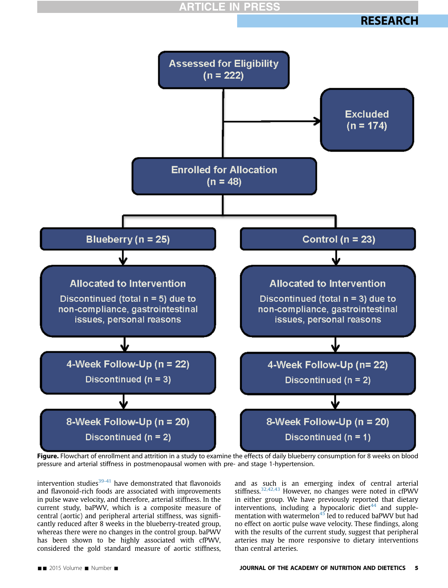



<span id="page-4-0"></span>

Figure. Flowchart of enrollment and attrition in a study to examine the effects of daily blueberry consumption for 8 weeks on blood pressure and arterial stiffness in postmenopausal women with pre- and stage 1-hypertension.

intervention studies $39-41$  have demonstrated that flavonoids and flavonoid-rich foods are associated with improvements in pulse wave velocity, and therefore, arterial stiffness. In the current study, baPWV, which is a composite measure of central (aortic) and peripheral arterial stiffness, was significantly reduced after 8 weeks in the blueberry-treated group, whereas there were no changes in the control group. baPWV has been shown to be highly associated with cfPWV, considered the gold standard measure of aortic stiffness,

and as such is an emerging index of central arterial stiffness.[32,42,43](#page-7-0) However, no changes were noted in cfPWV in either group. We have previously reported that dietary interventions, including a hypocaloric diet $44$  and supple-mentation with watermelon<sup>[45](#page-7-0)</sup> led to reduced baPWV but had no effect on aortic pulse wave velocity. These findings, along with the results of the current study, suggest that peripheral arteries may be more responsive to dietary interventions than central arteries.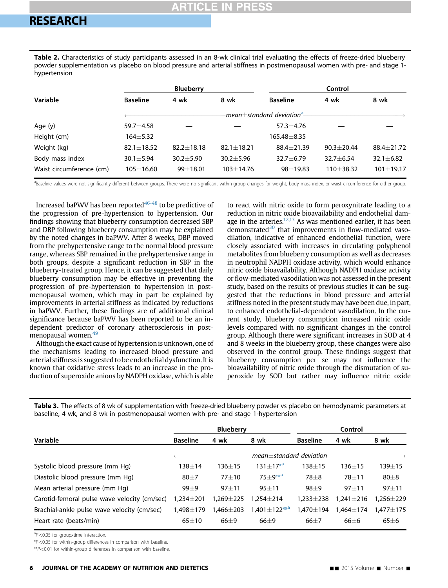<span id="page-5-0"></span>Table 2. Characteristics of study participants assessed in an 8-wk clinical trial evaluating the effects of freeze-dried blueberry powder supplementation vs placebo on blood pressure and arterial stiffness in postmenopausal women with pre- and stage 1 hypertension

| <b>ILLER</b>             |                                         |                 |                |                 |                 |                 |  |
|--------------------------|-----------------------------------------|-----------------|----------------|-----------------|-----------------|-----------------|--|
| Variable                 | <b>Blueberry</b>                        |                 |                | Control         |                 |                 |  |
|                          | <b>Baseline</b>                         | 4 wk            | 8 wk           | <b>Baseline</b> | 4 wk            | 8 wk            |  |
|                          | -mean+standard deviation <sup>a</sup> - |                 |                |                 |                 |                 |  |
| Age (y)                  | $59.7 + 4.58$                           |                 |                | $57.3 \pm 4.76$ |                 |                 |  |
| Height (cm)              | $164 + 5.32$                            |                 |                | 165.48 ± 8.35   |                 |                 |  |
| Weight (kg)              | $82.1 \pm 18.52$                        | $82.2 + 18.18$  | $82.1 + 18.21$ | 88.4±21.39      | $90.3 + 20.44$  | 88.4±21.72      |  |
| Body mass index          | $30.1 \pm 5.94$                         | $30.2 \pm 5.90$ | $30.2 + 5.96$  | $32.7 \pm 6.79$ | $32.7 \pm 6.54$ | $32.1 \pm 6.82$ |  |
| Waist circumference (cm) | $105 + 16.60$                           | $99 + 18.01$    | $103 + 14.76$  | $98 + 19.83$    | $110 + 38.32$   | $101 \pm 19.17$ |  |

a<br>Baseline values were not significantly different between groups. There were no significant within-group changes for weight, body mass index, or waist circumference for either group.

Increased baPWV has been reported $46-48$  to be predictive of the progression of pre-hypertension to hypertension. Our findings showing that blueberry consumption decreased SBP and DBP following blueberry consumption may be explained by the noted changes in baPWV. After 8 weeks, DBP moved from the prehypertensive range to the normal blood pressure range, whereas SBP remained in the prehypertensive range in both groups, despite a significant reduction in SBP in the blueberry-treated group. Hence, it can be suggested that daily blueberry consumption may be effective in preventing the progression of pre-hypertension to hypertension in postmenopausal women, which may in part be explained by improvements in arterial stiffness as indicated by reductions in baPWV. Further, these findings are of additional clinical significance because baPWV has been reported to be an independent predictor of coronary atherosclerosis in post-menopausal women.<sup>[49](#page-8-0)</sup>

Although the exact cause of hypertension is unknown, one of the mechanisms leading to increased blood pressure and arterial stiffness is suggested to be endothelial dysfunction. It is known that oxidative stress leads to an increase in the production of superoxide anions by NADPH oxidase, which is able

to react with nitric oxide to form peroxynitrate leading to a reduction in nitric oxide bioavailability and endothelial dam-age in the arteries.<sup>[12,13](#page-7-0)</sup> As was mentioned earlier, it has been demonstrated $30$  that improvements in flow-mediated vasodilation, indicative of enhanced endothelial function, were closely associated with increases in circulating polyphenol metabolites from blueberry consumption as well as decreases in neutrophil NADPH oxidase activity, which would enhance nitric oxide bioavailability. Although NADPH oxidase activity or flow-mediated vasodilation was not assessed in the present study, based on the results of previous studies it can be suggested that the reductions in blood pressure and arterial stiffness noted in the present study may have been due, in part, to enhanced endothelial-dependent vasodilation. In the current study, blueberry consumption increased nitric oxide levels compared with no significant changes in the control group. Although there were significant increases in SOD at 4 and 8 weeks in the blueberry group, these changes were also observed in the control group. These findings suggest that blueberry consumption per se may not influence the bioavailability of nitric oxide through the dismutation of superoxide by SOD but rather may influence nitric oxide

Table 3. The effects of 8 wk of supplementation with freeze-dried blueberry powder vs placebo on hemodynamic parameters at baseline, 4 wk, and 8 wk in postmenopausal women with pre- and stage 1-hypertension

|                                              | <b>Blueberry</b>          |                 |                    | Control         |                 |                 |
|----------------------------------------------|---------------------------|-----------------|--------------------|-----------------|-----------------|-----------------|
| Variable                                     | <b>Baseline</b>           | 4 wk            | 8 wk               | <b>Baseline</b> | 4 wk            | 8 wk            |
|                                              | -mean+standard deviation- |                 |                    |                 |                 |                 |
| Systolic blood pressure (mm Hq)              | 138 $\pm$ 14              | $136 + 15$      | $131 + 17^{*a}$    | $138\pm15$      | $136 + 15$      | 139 $\pm$ 15    |
| Diastolic blood pressure (mm Hq)             | $80\pm7$                  | $77 + 10$       | $75 + 9***^a$      | $78\pm8$        | $78 + 11$       | $80\pm8$        |
| Mean arterial pressure (mm Hq)               | $99 + 9$                  | $97 + 11$       | $95 + 11$          | $98 + 9$        | $97 + 11$       | $97 + 11$       |
| Carotid-femoral pulse wave velocity (cm/sec) | $1.234 \pm 201$           | $1.269 \pm 225$ | $1.254 \pm 214$    | $1.233 \pm 238$ | $1.241 \pm 216$ | 1,256±229       |
| Brachial-ankle pulse wave velocity (cm/sec)  | 1.498 $\pm$ 179           | $1.466 \pm 203$ | $1,401 \pm 122***$ | $1.470 \pm 194$ | $1.464 \pm 174$ | $1.477 \pm 175$ |
| Heart rate (beats/min)                       | $65 + 10$                 | $66\pm9$        | $66 + 9$           | $66 + 7$        | $66\pm 6$       | $65\pm 6$       |
|                                              |                           |                 |                    |                 |                 |                 |

a $P$  < 0.05 for groupxtime interaction.

\*P<0.05 for within-group differences in comparison with baseline.

\*\*P<0.01 for within-group differences in comparison with baseline.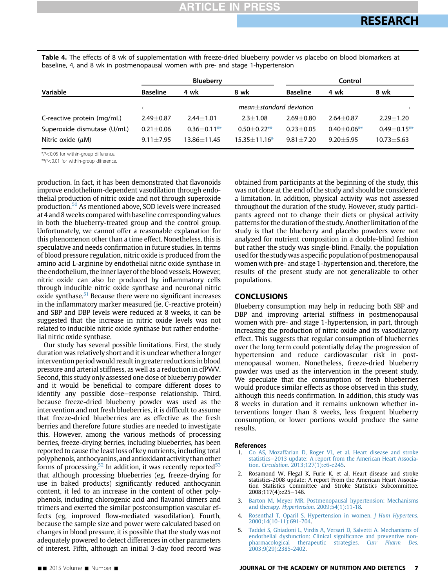<span id="page-6-0"></span>Table 4. The effects of 8 wk of supplementation with freeze-dried blueberry powder vs placebo on blood biomarkers at baseline, 4, and 8 wk in postmenopausal women with pre- and stage 1-hypertension

|                             | <b>Blueberry</b>          |                  |                  | Control         |                  |                  |  |
|-----------------------------|---------------------------|------------------|------------------|-----------------|------------------|------------------|--|
| Variable                    | <b>Baseline</b>           | 4 wk             | 8 wk             | <b>Baseline</b> | 4 wk             | 8 wk             |  |
|                             | -mean+standard deviation– |                  |                  |                 |                  |                  |  |
| C-reactive protein (mg/mL)  | $2.49 + 0.87$             | $2.44 + 1.01$    | $2.3 + 1.08$     | $2.69 + 0.80$   | $2.64 + 0.87$    | $2.29 \pm 1.20$  |  |
| Superoxide dismutase (U/mL) | $0.21 + 0.06$             | $0.36 + 0.11$ ** | $0.50 + 0.22$ ** | $0.23 + 0.05$   | $0.40 + 0.06$ ** | $0.49 + 0.15$ ** |  |
| Nitric oxide $(\mu M)$      | $9.11 + 7.95$             | 13.86+11.45      | $15.35 + 11.16*$ | $9.81 + 7.20$   | $9.20 + 5.95$    | $10.73 \pm 5.63$ |  |

\*P<0.05 for within-group difference.

\*\*P<0.01 for within-group difference.

production. In fact, it has been demonstrated that flavonoids improve endothelium-dependent vasodilation through endothelial production of nitric oxide and not through superoxide production.[50](#page-8-0) As mentioned above, SOD levels were increased at 4 and 8 weeks compared with baseline corresponding values in both the blueberry-treated group and the control group. Unfortunately, we cannot offer a reasonable explanation for this phenomenon other than a time effect. Nonetheless, this is speculative and needs confirmation in future studies. In terms of blood pressure regulation, nitric oxide is produced from the amino acid L-arginine by endothelial nitric oxide synthase in the endothelium, the inner layer of the blood vessels. However, nitric oxide can also be produced by inflammatory cells through inducible nitric oxide synthase and neuronal nitric oxide synthase.<sup>[51](#page-8-0)</sup> Because there were no significant increases in the inflammatory marker measured (ie, C-reactive protein) and SBP and DBP levels were reduced at 8 weeks, it can be suggested that the increase in nitric oxide levels was not related to inducible nitric oxide synthase but rather endothelial nitric oxide synthase.

Our study has several possible limitations. First, the study duration was relatively short and it is unclear whether a longer intervention period would result in greater reductions in blood pressure and arterial stiffness, as well as a reduction in cfPWV. Second, this study only assessed one dose of blueberry powder and it would be beneficial to compare different doses to identify any possible dose–response relationship. Third, because freeze-dried blueberry powder was used as the intervention and not fresh blueberries, it is difficult to assume that freeze-dried blueberries are as effective as the fresh berries and therefore future studies are needed to investigate this. However, among the various methods of processing berries, freeze-drying berries, including blueberries, has been reported to cause the least loss of key nutrients, including total polyphenols, anthocyanins, and antioxidant activity than other forms of processing.<sup>52</sup> In addition, it was recently reported<sup>[53](#page-8-0)</sup> that although processing blueberries (eg, freeze-drying for use in baked products) significantly reduced anthocyanin content, it led to an increase in the content of other polyphenols, including chlorogenic acid and flavanol dimers and trimers and exerted the similar postconsumption vascular effects (eg, improved flow-mediated vasodilation). Fourth, because the sample size and power were calculated based on changes in blood pressure, it is possible that the study was not adequately powered to detect differences in other parameters of interest. Fifth, although an initial 3-day food record was

obtained from participants at the beginning of the study, this was not done at the end of the study and should be considered a limitation. In addition, physical activity was not assessed throughout the duration of the study. However, study participants agreed not to change their diets or physical activity patterns for the duration of the study. Another limitation of the study is that the blueberry and placebo powders were not analyzed for nutrient composition in a double-blind fashion but rather the study was single-blind. Finally, the population used for the study was a specific population of postmenopausal women with pre- and stage 1-hypertension and, therefore, the results of the present study are not generalizable to other populations.

### **CONCLUSIONS**

Blueberry consumption may help in reducing both SBP and DBP and improving arterial stiffness in postmenopausal women with pre- and stage 1-hypertension, in part, through increasing the production of nitric oxide and its vasodilatory effect. This suggests that regular consumption of blueberries over the long term could potentially delay the progression of hypertension and reduce cardiovascular risk in postmenopausal women. Nonetheless, freeze-dried blueberry powder was used as the intervention in the present study. We speculate that the consumption of fresh blueberries would produce similar effects as those observed in this study, although this needs confirmation. In addition, this study was 8 weeks in duration and it remains unknown whether interventions longer than 8 weeks, less frequent blueberry consumption, or lower portions would produce the same results.

#### References

- 1. [Go AS, Mozaffarian D, Roger VL, et al. Heart disease and stroke](http://refhub.elsevier.com/S2212-2672(14)01633-5/sref1) [statistics](http://refhub.elsevier.com/S2212-2672(14)01633-5/sref1)-[2013 update: A report from the American Heart Associa](http://refhub.elsevier.com/S2212-2672(14)01633-5/sref1)tion. Circulation[. 2013;127\(1\):e6-e245](http://refhub.elsevier.com/S2212-2672(14)01633-5/sref1).
- Rosamond W, Flegal K, Furie K, et al. Heart disease and stroke statistics-2008 update: A report From the American Heart Association Statistics Committee and Stroke Statistics Subcommittee. 2008;117(4):e25-146.
- 3. [Barton M, Meyer MR. Postmenopausal hypertension: Mechanisms](http://refhub.elsevier.com/S2212-2672(14)01633-5/sref2) and therapy. Hypertension[. 2009;54\(1\):11-18](http://refhub.elsevier.com/S2212-2672(14)01633-5/sref2).
- 4. [Rosenthal T, Oparil S. Hypertension in women.](http://refhub.elsevier.com/S2212-2672(14)01633-5/sref3) J Hum Hypertens. [2000;14\(10-11\):691-704.](http://refhub.elsevier.com/S2212-2672(14)01633-5/sref3)
- 5. [Taddei S, Ghiadoni L, Virdis A, Versari D, Salvetti A. Mechanisms of](http://refhub.elsevier.com/S2212-2672(14)01633-5/sref4) [endothelial dysfunction: Clinical signi](http://refhub.elsevier.com/S2212-2672(14)01633-5/sref4)ficance and preventive non[pharmacological therapeutic strategies.](http://refhub.elsevier.com/S2212-2672(14)01633-5/sref4) Curr Pharm Des. [2003;9\(29\):2385-2402.](http://refhub.elsevier.com/S2212-2672(14)01633-5/sref4)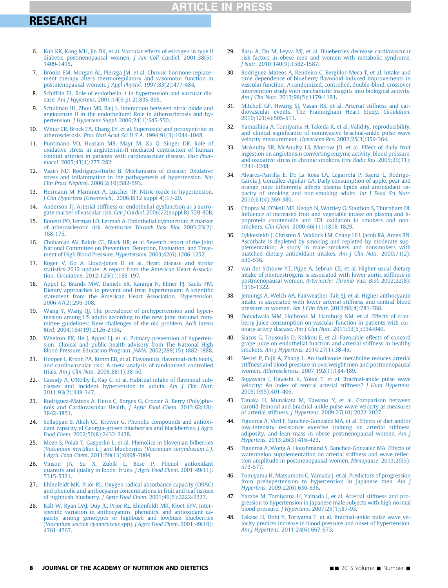## **ARTICLE IN PRESS**

### <span id="page-7-0"></span>**RESEARCH** <u>research</u>

- 6. [Koh KK, Kang MH, Jin DK, et al. Vascular effects of estrogen in type II](http://refhub.elsevier.com/S2212-2672(14)01633-5/sref5) [diabetic postmenopausal women.](http://refhub.elsevier.com/S2212-2672(14)01633-5/sref5) J Am Coll Cardiol. 2001;38(5): [1409-1415.](http://refhub.elsevier.com/S2212-2672(14)01633-5/sref5)
- 7. [Brooks EM, Morgan AL, Pierzga JM, et al. Chronic hormone replace](http://refhub.elsevier.com/S2212-2672(14)01633-5/sref6)[ment therapy alters thermoregulatory and vasomotor function in](http://refhub.elsevier.com/S2212-2672(14)01633-5/sref6) [postmenopausal women.](http://refhub.elsevier.com/S2212-2672(14)01633-5/sref6) J Appl Physiol. 1997;83(2):477-484.
- 8. [Schiffrin EL. Role of endothelin-1 in hypertension and vascular dis](http://refhub.elsevier.com/S2212-2672(14)01633-5/sref7)ease. Am J Hypertens[. 2001;14\(6 pt 2\):83S-89S](http://refhub.elsevier.com/S2212-2672(14)01633-5/sref7).
- 9. [Schulman IH, Zhou MS, Raij L. Interaction between nitric oxide and](http://refhub.elsevier.com/S2212-2672(14)01633-5/sref8) [angiotensin II in the endothelium: Role in atherosclerosis and hy](http://refhub.elsevier.com/S2212-2672(14)01633-5/sref8)pertension. J Hypertens Suppl[. 2006;24\(1\):S45-S50](http://refhub.elsevier.com/S2212-2672(14)01633-5/sref8).
- 10. [White CR, Brock TA, Chang LY, et al. Superoxide and peroxynitrite in](http://refhub.elsevier.com/S2212-2672(14)01633-5/sref9) atherosclerosis. Proc Natl Acad Sci U S A[. 1994;91\(3\):1044-1048](http://refhub.elsevier.com/S2212-2672(14)01633-5/sref9).
- 11. [Puntmann VO, Hussain MB, Mayr M, Xu Q, Singer DR. Role of](http://refhub.elsevier.com/S2212-2672(14)01633-5/sref10) [oxidative stress in angiotensin-II mediated contraction of human](http://refhub.elsevier.com/S2212-2672(14)01633-5/sref10) [conduit arteries in patients with cardiovascular disease.](http://refhub.elsevier.com/S2212-2672(14)01633-5/sref10) Vasc Pharmacol[. 2005;43\(4\):277-282](http://refhub.elsevier.com/S2212-2672(14)01633-5/sref10).
- 12. [Vaziri ND, Rodríguez-Iturbe B. Mechanisms of disease: Oxidative](http://refhub.elsevier.com/S2212-2672(14)01633-5/sref11) stress and infl[ammation in the pathogenesis of hypertension.](http://refhub.elsevier.com/S2212-2672(14)01633-5/sref11) Nat Clin Pract Nephrol[. 2006;2\(10\):582-593](http://refhub.elsevier.com/S2212-2672(14)01633-5/sref11).
- 13. [Hermann M, Flammer A, Lüscher TF. Nitric oxide in hypertension.](http://refhub.elsevier.com/S2212-2672(14)01633-5/sref12) [J Clin Hypertens \(Greenwich\)](http://refhub.elsevier.com/S2212-2672(14)01633-5/sref12). 2006;8(12 suppl 4):17-29.
- 14. [Anderson TJ. Arterial stiffness or endothelial dysfunction as a surro](http://refhub.elsevier.com/S2212-2672(14)01633-5/sref13)[gate marker of vascular risk.](http://refhub.elsevier.com/S2212-2672(14)01633-5/sref13) Can J Cardiol. 2006;22(suppl B):72B-80B.
- 15. [Bonetti PO, Lerman LO, Lerman A. Endothelial dysfunction: A marker](http://refhub.elsevier.com/S2212-2672(14)01633-5/sref14) of atherosclerotic risk. [Arterioscler Thromb Vasc Biol](http://refhub.elsevier.com/S2212-2672(14)01633-5/sref14). 2003;23(2): [168-175](http://refhub.elsevier.com/S2212-2672(14)01633-5/sref14).
- 16. [Chobanian AV, Bakris GL, Black HR, et al. Seventh report of the Joint](http://refhub.elsevier.com/S2212-2672(14)01633-5/sref15) [National Committee on Prevention, Detection, Evaluation, and Treat](http://refhub.elsevier.com/S2212-2672(14)01633-5/sref15)[ment of High Blood Pressure.](http://refhub.elsevier.com/S2212-2672(14)01633-5/sref15) Hypertension. 2003;42(6):1206-1252.
- 17. [Roger V, Go A, Lloyd-Jones D, et al. Heart disease and stroke](http://refhub.elsevier.com/S2212-2672(14)01633-5/sref16) [statistics-2012 update: A report from the American Heart Associa](http://refhub.elsevier.com/S2212-2672(14)01633-5/sref16)tion. Circulation[. 2012;125\(1\):188-197](http://refhub.elsevier.com/S2212-2672(14)01633-5/sref16).
- 18. [Appel LJ, Brands MW, Daniels SR, Karanja N, Elmer PJ, Sacks FM.](http://refhub.elsevier.com/S2212-2672(14)01633-5/sref17) [Dietary approaches to prevent and treat hypertension: A scienti](http://refhub.elsevier.com/S2212-2672(14)01633-5/sref17)fic [statement from the American Heart Association.](http://refhub.elsevier.com/S2212-2672(14)01633-5/sref17) Hypertension. [2006;47\(2\):296-308.](http://refhub.elsevier.com/S2212-2672(14)01633-5/sref17)
- [Wang Y, Wang QJ. The prevalence of prehypertension and hyper](http://refhub.elsevier.com/S2212-2672(14)01633-5/sref18)[tension among US adults according to the new joint national com](http://refhub.elsevier.com/S2212-2672(14)01633-5/sref18)[mittee guidelines: New challenges of the old problem.](http://refhub.elsevier.com/S2212-2672(14)01633-5/sref18) Arch Intern Med[. 2004;164\(19\):2126-2134](http://refhub.elsevier.com/S2212-2672(14)01633-5/sref18).
- 20. [Whelton PK, He J, Appel LJ, et al. Primary prevention of hyperten](http://refhub.elsevier.com/S2212-2672(14)01633-5/sref19)[sion: Clinical and public health advisory from The National High](http://refhub.elsevier.com/S2212-2672(14)01633-5/sref19) [Blood Pressure Education Program.](http://refhub.elsevier.com/S2212-2672(14)01633-5/sref19) JAMA. 2002;288(15):1882-1888.
- 21. [Hooper L, Kroon PA, Rimm EB, et al. Flavonoids,](http://refhub.elsevier.com/S2212-2672(14)01633-5/sref20) flavonoid-rich foods, [and cardiovascular risk: A meta-analysis of randomized controlled](http://refhub.elsevier.com/S2212-2672(14)01633-5/sref20) trials. Am J Clin Nutr[. 2008;88\(1\):38-50.](http://refhub.elsevier.com/S2212-2672(14)01633-5/sref20)
- 22. Cassidy A, O'[Reilly É, Kay C, et al. Habitual intake of](http://refhub.elsevier.com/S2212-2672(14)01633-5/sref21) flavonoid sub[classes and incident hypertension in adults.](http://refhub.elsevier.com/S2212-2672(14)01633-5/sref21) Am J Clin Nutr. [2011;93\(2\):338-347.](http://refhub.elsevier.com/S2212-2672(14)01633-5/sref21)
- 23. [Rodriguez-Mateos A, Heiss C, Borges G, Crozier A. Berry \(Poly\)phe](http://refhub.elsevier.com/S2212-2672(14)01633-5/sref22)[nols and Cardiovascular Health.](http://refhub.elsevier.com/S2212-2672(14)01633-5/sref22) J Agric Food Chem. 2013;62(18): [3842-3851](http://refhub.elsevier.com/S2212-2672(14)01633-5/sref22).
- 24. [Sellappan S, Akoh CC, Krewer G. Phenolic compounds and antioxi](http://refhub.elsevier.com/S2212-2672(14)01633-5/sref23)[dant capacity of Georgia-grown blueberries and blackberries.](http://refhub.elsevier.com/S2212-2672(14)01633-5/sref23) J Agric Food Chem[. 2002;50\(8\):2432-2438](http://refhub.elsevier.com/S2212-2672(14)01633-5/sref23).
- 25. [Moze S, Polak T, Gasperlin L, et al. Phenolics in Slovenian bilberries](http://refhub.elsevier.com/S2212-2672(14)01633-5/sref24) (Vaccinium myrtillus L.) and blueberries [\(Vaccinium corymbosum L.\)](http://refhub.elsevier.com/S2212-2672(14)01633-5/sref24). J Agric Food Chem[. 2011;59\(13\):6998-7004](http://refhub.elsevier.com/S2212-2672(14)01633-5/sref24).
- 26. [Vinson JA, Su X, Zubik L, Bose P. Phenol antioxidant](http://refhub.elsevier.com/S2212-2672(14)01633-5/sref25) [quantity and quality in foods: Fruits.](http://refhub.elsevier.com/S2212-2672(14)01633-5/sref25) J Agric Food Chem. 2001;49(11): [5315-5321](http://refhub.elsevier.com/S2212-2672(14)01633-5/sref25).
- 27. [Ehlenfeldt MK, Prior RL. Oxygen radical absorbance capacity \(ORAC\)](http://refhub.elsevier.com/S2212-2672(14)01633-5/sref26) [and phenolic and anthocyanin concentrations in fruit and leaf tissues](http://refhub.elsevier.com/S2212-2672(14)01633-5/sref26) of highbush blueberry. J Agric Food Chem[. 2001;49\(5\):2222-2227.](http://refhub.elsevier.com/S2212-2672(14)01633-5/sref26)
- 28. [Kalt W, Ryan DAJ, Duy JC, Prior RL, Ehlenfeldt MK, Kloet SPV. Inter](http://refhub.elsevier.com/S2212-2672(14)01633-5/sref27)specifi[c variation in anthocyanins, phenolics, and antioxidant ca](http://refhub.elsevier.com/S2212-2672(14)01633-5/sref27)[pacity among genotypes of highbush and lowbush blueberries](http://refhub.elsevier.com/S2212-2672(14)01633-5/sref27) ([Vaccinium section cyanococcus](http://refhub.elsevier.com/S2212-2672(14)01633-5/sref27) spp). J Agric Food Chem. 2001;49(10): [4761-4767](http://refhub.elsevier.com/S2212-2672(14)01633-5/sref27).
- 29. [Basu A, Du M, Leyva MJ, et al. Blueberries decrease cardiovascular](http://refhub.elsevier.com/S2212-2672(14)01633-5/sref28) [risk factors in obese men and women with metabolic syndrome.](http://refhub.elsevier.com/S2212-2672(14)01633-5/sref28) J Nutr[. 2010;140\(9\):1582-1587](http://refhub.elsevier.com/S2212-2672(14)01633-5/sref28).
- 30. [Rodriguez-Mateos A, Rendeiro C, Bergillos-Meca T, et al. Intake and](http://refhub.elsevier.com/S2212-2672(14)01633-5/sref29) time dependence of blueberry fl[avonoid-induced improvements in](http://refhub.elsevier.com/S2212-2672(14)01633-5/sref29) [vascular function: A randomized, controlled, double-blind, crossover](http://refhub.elsevier.com/S2212-2672(14)01633-5/sref29) [intervention study with mechanistic insights into biological activity.](http://refhub.elsevier.com/S2212-2672(14)01633-5/sref29) Am J Clin Nutr[. 2013;98\(5\):1179-1191.](http://refhub.elsevier.com/S2212-2672(14)01633-5/sref29)
- 31. [Mitchell GF, Hwang SJ, Vasan RS, et al. Arterial stiffness and car-](http://refhub.elsevier.com/S2212-2672(14)01633-5/sref30)[diovascular events: The Framingham Heart Study.](http://refhub.elsevier.com/S2212-2672(14)01633-5/sref30) Circulation. [2010;121\(4\):505-511.](http://refhub.elsevier.com/S2212-2672(14)01633-5/sref30)
- 32. [Yamashina A, Tomiyama H, Takeda K, et al. Validity, reproducibility,](http://refhub.elsevier.com/S2212-2672(14)01633-5/sref31) and clinical signifi[cance of noninvasive brachial-ankle pulse wave](http://refhub.elsevier.com/S2212-2672(14)01633-5/sref31) [velocity measurement.](http://refhub.elsevier.com/S2212-2672(14)01633-5/sref31) Hypertens Res. 2002;25(3):359-364.
- [McAnulty SR, McAnulty LS, Morrow JD, et al. Effect of daily fruit](http://refhub.elsevier.com/S2212-2672(14)01633-5/sref32) [ingestion on angiotensin converting enzyme activity, blood pressure,](http://refhub.elsevier.com/S2212-2672(14)01633-5/sref32) [and oxidative stress in chronic smokers.](http://refhub.elsevier.com/S2212-2672(14)01633-5/sref32) Free Radic Res. 2005;39(11): [1241-1248](http://refhub.elsevier.com/S2212-2672(14)01633-5/sref32).
- 34. [Alvarez-Parrilla E, De La Rosa LA, Legarreta P, Saenz L, Rodrigo-](http://refhub.elsevier.com/S2212-2672(14)01633-5/sref33)[García J, González-Aguilar GA. Daily consumption of apple, pear and](http://refhub.elsevier.com/S2212-2672(14)01633-5/sref33) [orange juice differently affects plasma lipids and antioxidant ca](http://refhub.elsevier.com/S2212-2672(14)01633-5/sref33)[pacity of smoking and non-smoking adults.](http://refhub.elsevier.com/S2212-2672(14)01633-5/sref33) Int J Food Sci Nutr. [2010;61\(4\):369-380.](http://refhub.elsevier.com/S2212-2672(14)01633-5/sref33)
- 35. Chopra M, O'[Neill ME, Keogh N, Wortley G, Southon S, Thurnham DI.](http://refhub.elsevier.com/S2212-2672(14)01633-5/sref34) Infl[uence of increased fruit and vegetable intake on plasma and li](http://refhub.elsevier.com/S2212-2672(14)01633-5/sref34)[poprotein carotenoids and LDL oxidation in smokers and non](http://refhub.elsevier.com/S2212-2672(14)01633-5/sref34)smokers. Clin Chem[. 2000;46\(11\):1818-1829.](http://refhub.elsevier.com/S2212-2672(14)01633-5/sref34)
- 36. [Lykkesfeldt J, Christen S, Wallock LM, Chang HH, Jacob RA, Ames BN.](http://refhub.elsevier.com/S2212-2672(14)01633-5/sref35) [Ascorbate is depleted by smoking and repleted by moderate sup](http://refhub.elsevier.com/S2212-2672(14)01633-5/sref35)[plementation: A study in male smokers and nonsmokers with](http://refhub.elsevier.com/S2212-2672(14)01633-5/sref35) [matched dietary antioxidant intakes.](http://refhub.elsevier.com/S2212-2672(14)01633-5/sref35) Am J Clin Nutr. 2000;71(2): [530-536](http://refhub.elsevier.com/S2212-2672(14)01633-5/sref35).
- 37. [van der Schouw YT, Pijpe A, Lebrun CE, et al. Higher usual dietary](http://refhub.elsevier.com/S2212-2672(14)01633-5/sref36) [intake of phytoestrogens is associated with lower aortic stiffness in](http://refhub.elsevier.com/S2212-2672(14)01633-5/sref36) postmenopausal women. [Arterioscler Thromb Vasc Biol](http://refhub.elsevier.com/S2212-2672(14)01633-5/sref36). 2002;22(8): [1316-1322](http://refhub.elsevier.com/S2212-2672(14)01633-5/sref36).
- [Jennings A, Welch AA, Fairweather-Tait SJ, et al. Higher anthocyanin](http://refhub.elsevier.com/S2212-2672(14)01633-5/sref37) [intake is associated with lower arterial stiffness and central blood](http://refhub.elsevier.com/S2212-2672(14)01633-5/sref37) pressure in women. Am J Clin Nutr[. 2012;96\(4\):781-788](http://refhub.elsevier.com/S2212-2672(14)01633-5/sref37).
- [Dohadwala MM, Holbrook M, Hamburg NM, et al. Effects of cran](http://refhub.elsevier.com/S2212-2672(14)01633-5/sref38)[berry juice consumption on vascular function in patients with cor](http://refhub.elsevier.com/S2212-2672(14)01633-5/sref38)onary artery disease. Am J Clin Nutr[. 2011;93\(5\):934-940](http://refhub.elsevier.com/S2212-2672(14)01633-5/sref38).
- 40. [Siasos G, Tousoulis D, Kokkou E, et al. Favorable effects of concord](http://refhub.elsevier.com/S2212-2672(14)01633-5/sref39) [grape juice on endothelial function and arterial stiffness in healthy](http://refhub.elsevier.com/S2212-2672(14)01633-5/sref39) smokers. Am J Hypertens[. 2014;27\(1\):38-45.](http://refhub.elsevier.com/S2212-2672(14)01633-5/sref39)
- Nestel P, Fujii A, Zhang L. An isofl[avone metabolite reduces arterial](http://refhub.elsevier.com/S2212-2672(14)01633-5/sref40) [stiffness and blood pressure in overweight men and postmenopausal](http://refhub.elsevier.com/S2212-2672(14)01633-5/sref40) women. Atherosclerosis[. 2007;192\(1\):184-189.](http://refhub.elsevier.com/S2212-2672(14)01633-5/sref40)
- [Sugawara J, Hayashi K, Yokoi T, et al. Brachial-ankle pulse wave](http://refhub.elsevier.com/S2212-2672(14)01633-5/sref41) [velocity: An index of central arterial stiffness?](http://refhub.elsevier.com/S2212-2672(14)01633-5/sref41) J Hum Hypertens. [2005;19\(5\):401-406.](http://refhub.elsevier.com/S2212-2672(14)01633-5/sref41)
- 43. [Tanaka H, Munakata M, Kawano Y, et al. Comparison between](http://refhub.elsevier.com/S2212-2672(14)01633-5/sref42) [carotid-femoral and brachial-ankle pulse wave velocity as measures](http://refhub.elsevier.com/S2212-2672(14)01633-5/sref42) of arterial stiffness. J Hypertens[. 2009;27\(10\):2022-2027](http://refhub.elsevier.com/S2212-2672(14)01633-5/sref42).
- 44. [Figueroa A, Vicil F, Sanchez-Gonzalez MA, et al. Effects of diet and/or](http://refhub.elsevier.com/S2212-2672(14)01633-5/sref43) [low-intensity resistance exercise training on arterial stiffness,](http://refhub.elsevier.com/S2212-2672(14)01633-5/sref43) [adiposity, and lean mass in obese postmenopausal women.](http://refhub.elsevier.com/S2212-2672(14)01633-5/sref43) Am J Hypertens[. 2013;26\(3\):416-423](http://refhub.elsevier.com/S2212-2672(14)01633-5/sref43).
- 45. [Figueroa A, Wong A, Hooshmand S, Sanchez-Gonzalez MA. Effects of](http://refhub.elsevier.com/S2212-2672(14)01633-5/sref44) [watermelon supplementation on arterial stiffness and wave re](http://refhub.elsevier.com/S2212-2672(14)01633-5/sref44)flec[tion amplitude in postmenopausal women.](http://refhub.elsevier.com/S2212-2672(14)01633-5/sref44) Menopause. 2013;20(5): [573-577](http://refhub.elsevier.com/S2212-2672(14)01633-5/sref44).
- 46. [Tomiyama H, Matsumoto C, Yamada J, et al. Predictors of progression](http://refhub.elsevier.com/S2212-2672(14)01633-5/sref45) [from prehypertension to hypertension in Japanese men.](http://refhub.elsevier.com/S2212-2672(14)01633-5/sref45) Am J Hypertens[. 2009;22\(6\):630-636](http://refhub.elsevier.com/S2212-2672(14)01633-5/sref45).
- 47. [Yambe M, Tomiyama H, Yamada J, et al. Arterial stiffness and pro](http://refhub.elsevier.com/S2212-2672(14)01633-5/sref46)[gression to hypertension in Japanese male subjects with high normal](http://refhub.elsevier.com/S2212-2672(14)01633-5/sref46) blood pressure. J Hypertens[. 2007;25\(1\):87-93.](http://refhub.elsevier.com/S2212-2672(14)01633-5/sref46)
- 48. [Takase H, Dohi Y, Toriyama T, et al. Brachial-ankle pulse wave ve](http://refhub.elsevier.com/S2212-2672(14)01633-5/sref47)[locity predicts increase in blood pressure and onset of hypertension.](http://refhub.elsevier.com/S2212-2672(14)01633-5/sref47) Am J Hypertens[. 2011;24\(6\):667-673.](http://refhub.elsevier.com/S2212-2672(14)01633-5/sref47)